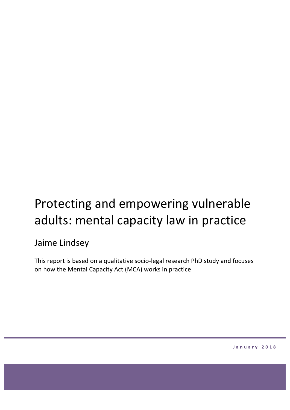# Protecting and empowering vulnerable adults: mental capacity law in practice

# Jaime Lindsey

This report is based on a qualitative socio-legal research PhD study and focuses on how the Mental Capacity Act (MCA) works in practice

**January 2018**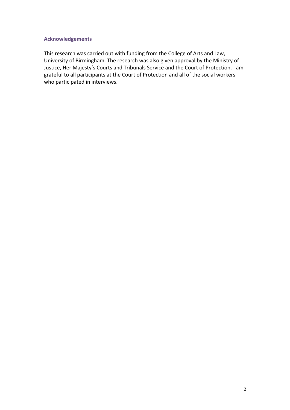#### **Acknowledgements**

This research was carried out with funding from the College of Arts and Law, University of Birmingham. The research was also given approval by the Ministry of Justice, Her Majesty's Courts and Tribunals Service and the Court of Protection. I am grateful to all participants at the Court of Protection and all of the social workers who participated in interviews.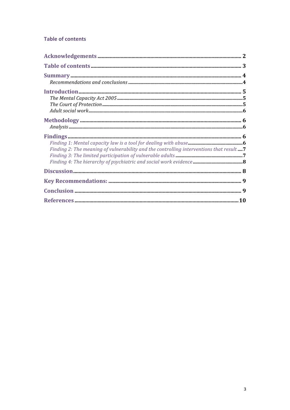# **Table of contents**

| ${\bf Methodology}\textrm{.}\label{prop:main} {\bf Methodology}\textrm{.}$               |  |
|------------------------------------------------------------------------------------------|--|
| Finding 2: The meaning of vulnerability and the controlling interventions that result  7 |  |
|                                                                                          |  |
|                                                                                          |  |
|                                                                                          |  |
|                                                                                          |  |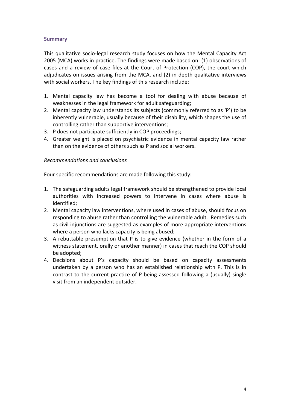# **Summary**

This qualitative socio-legal research study focuses on how the Mental Capacity Act 2005 (MCA) works in practice. The findings were made based on: (1) observations of cases and a review of case files at the Court of Protection (COP), the court which adjudicates on issues arising from the MCA, and (2) in depth qualitative interviews with social workers. The key findings of this research include:

- 1. Mental capacity law has become a tool for dealing with abuse because of weaknesses in the legal framework for adult safeguarding;
- 2. Mental capacity law understands its subjects (commonly referred to as 'P') to be inherently vulnerable, usually because of their disability, which shapes the use of controlling rather than supportive interventions;
- 3. P does not participate sufficiently in COP proceedings;
- 4. Greater weight is placed on psychiatric evidence in mental capacity law rather than on the evidence of others such as P and social workers.

#### *Recommendations and conclusions*

Four specific recommendations are made following this study:

- 1. The safeguarding adults legal framework should be strengthened to provide local authorities with increased powers to intervene in cases where abuse is identified;
- 2. Mental capacity law interventions, where used in cases of abuse, should focus on responding to abuse rather than controlling the vulnerable adult. Remedies such as civil injunctions are suggested as examples of more appropriate interventions where a person who lacks capacity is being abused;
- 3. A rebuttable presumption that  $P$  is to give evidence (whether in the form of a witness statement, orally or another manner) in cases that reach the COP should be adopted;
- 4. Decisions about P's capacity should be based on capacity assessments undertaken by a person who has an established relationship with P. This is in contrast to the current practice of P being assessed following a (usually) single visit from an independent outsider.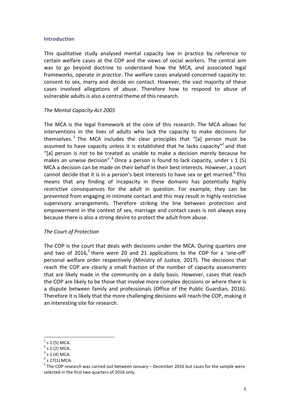#### **Introduction**

This qualitative study analysed mental capacity law in practice by reference to certain welfare cases at the COP and the views of social workers. The central aim was to go beyond doctrine to understand how the MCA, and associated legal frameworks, operate *in practice*. The welfare cases analysed concerned capacity to: consent to sex, marry and decide on contact. However, the vast majority of these cases involved allegations of abuse. Therefore how to respond to abuse of vulnerable adults is also a central theme of this research.

#### **The Mental Capacity Act 2005**

The MCA is the legal framework at the core of this research. The MCA allows for interventions in the lives of adults who lack the capacity to make decisions for themselves.<sup>1</sup> The MCA includes the clear principles that "[a] person must be assumed to have capacity unless it is established that he lacks capacity"<sup>2</sup> and that "[a] person is not to be treated as unable to make a decision merely because he makes an unwise decision".<sup>3</sup> Once a person is found to lack capacity, under s 1 (5) MCA a decision can be made on their behalf in their best interests. However, a court cannot decide that it is in a person's best interests to have sex or get married.<sup>4</sup> This means that any finding of incapacity in these domains has potentially highly restrictive consequences for the adult in question. For example, they can be prevented from engaging in intimate contact and this may result in highly restrictive supervisory arrangements. Therefore striking the line between protection and empowerment in the context of sex, marriage and contact cases is not always easy because there is also a strong desire to protect the adult from abuse.

#### *The Court of Protection*

The COP is the court that deals with decisions under the MCA. During quarters one and two of  $2016$ ,<sup>5</sup> there were 20 and 21 applications to the COP for a 'one-off' personal welfare order respectively (Ministry of Justice, 2017). The decisions that reach the COP are clearly a small fraction of the number of capacity assessments that are likely made in the community on a daily basis. However, cases that reach the COP are likely to be those that involve more complex decisions or where there is a dispute between family and professionals (Office of the Public Guardian, 2016). Therefore it is likely that the more challenging decisions will reach the COP, making it an interesting site for research.

 $s 1 (5)$  MCA.

 $s 1(2)$  MCA.

 $3$  s 1 (4) MCA.

 $4$  s 27(1) MCA.

 $5$  The COP research was carried out between January – December 2016 but cases for the sample were selected in the first two quarters of 2016 only.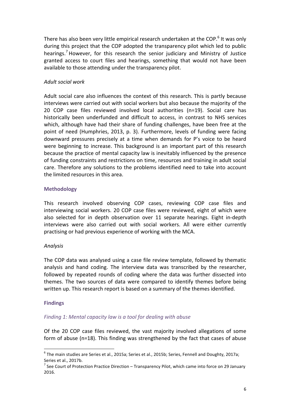There has also been very little empirical research undertaken at the COP.<sup>6</sup> It was only during this project that the COP adopted the transparency pilot which led to public hearings.<sup>7</sup> However, for this research the senior judiciary and Ministry of Justice granted access to court files and hearings, something that would not have been available to those attending under the transparency pilot.

# *Adult social work*

Adult social care also influences the context of this research. This is partly because interviews were carried out with social workers but also because the majority of the 20 COP case files reviewed involved local authorities  $(n=19)$ . Social care has historically been underfunded and difficult to access, in contrast to NHS services which, although have had their share of funding challenges, have been free at the point of need (Humphries, 2013, p. 3). Furthermore, levels of funding were facing downward pressures precisely at a time when demands for P's voice to be heard were beginning to increase. This background is an important part of this research because the practice of mental capacity law is inevitably influenced by the presence of funding constraints and restrictions on time, resources and training in adult social care. Therefore any solutions to the problems identified need to take into account the limited resources in this area.

# **Methodology**

This research involved observing COP cases, reviewing COP case files and interviewing social workers. 20 COP case files were reviewed, eight of which were also selected for in depth observation over 11 separate hearings. Eight in-depth interviews were also carried out with social workers. All were either currently practising or had previous experience of working with the MCA.

#### *Analysis*

The COP data was analysed using a case file review template, followed by thematic analysis and hand coding. The interview data was transcribed by the researcher, followed by repeated rounds of coding where the data was further dissected into themes. The two sources of data were compared to identify themes before being written up. This research report is based on a summary of the themes identified.

#### **Findings**

# *Finding 1: Mental capacity law is a tool for dealing with abuse*

Of the 20 COP case files reviewed, the vast majority involved allegations of some form of abuse ( $n=18$ ). This finding was strengthened by the fact that cases of abuse

 $6$  The main studies are Series et al., 2015a; Series et al., 2015b; Series, Fennell and Doughty, 2017a; Series et al., 2017b.

 $^7$  See Court of Protection Practice Direction – Transparency Pilot, which came into force on 29 January 2016.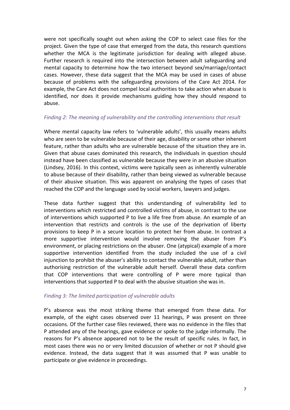were not specifically sought out when asking the COP to select case files for the project. Given the type of case that emerged from the data, this research questions whether the MCA is the legitimate jurisdiction for dealing with alleged abuse. Further research is required into the intersection between adult safeguarding and mental capacity to determine how the two intersect beyond sex/marriage/contact cases. However, these data suggest that the MCA may be used in cases of abuse because of problems with the safeguarding provisions of the Care Act 2014. For example, the Care Act does not compel local authorities to take action when abuse is identified, nor does it provide mechanisms guiding how they should respond to abuse. 

# *Finding 2: The meaning of vulnerability and the controlling interventions that result*

Where mental capacity law refers to 'vulnerable adults', this usually means adults who are seen to be vulnerable because of their age, disability or some other inherent feature, rather than adults who are vulnerable because of the situation they are in. Given that abuse cases dominated this research, the individuals in question should instead have been classified as vulnerable because they were in an abusive situation (Lindsey, 2016). In this context, victims were typically seen as inherently vulnerable to abuse because of their disability, rather than being viewed as vulnerable because of their abusive situation. This was apparent on analysing the types of cases that reached the COP and the language used by social workers, lawyers and judges.

These data further suggest that this understanding of vulnerability led to interventions which restricted and controlled victims of abuse, in contrast to the use of interventions which supported P to live a life free from abuse. An example of an intervention that restricts and controls is the use of the deprivation of liberty provisions to keep P in a secure location to protect her from abuse. In contrast a more supportive intervention would involve removing the abuser from  $P's$ environment, or placing restrictions on the abuser. One (atypical) example of a more supportive intervention identified from the study included the use of a civil injunction to prohibit the abuser's ability to contact the vulnerable adult, rather than authorising restriction of the vulnerable adult herself. Overall these data confirm that COP interventions that were controlling of P were more typical than interventions that supported P to deal with the abusive situation she was in.

# *Finding 3: The limited participation of vulnerable adults*

P's absence was the most striking theme that emerged from these data. For example, of the eight cases observed over 11 hearings, P was present on three occasions. Of the further case files reviewed, there was no evidence in the files that P attended any of the hearings, gave evidence or spoke to the judge informally. The reasons for P's absence appeared not to be the result of specific rules. In fact, in most cases there was no or very limited discussion of whether or not P should give evidence. Instead, the data suggest that it was assumed that P was unable to participate or give evidence in proceedings.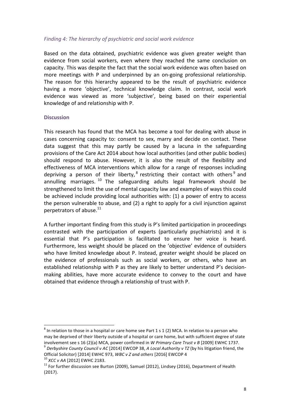# *Finding 4: The hierarchy of psychiatric and social work evidence*

Based on the data obtained, psychiatric evidence was given greater weight than evidence from social workers, even where they reached the same conclusion on capacity. This was despite the fact that the social work evidence was often based on more meetings with  $P$  and underpinned by an on-going professional relationship. The reason for this hierarchy appeared to be the result of psychiatric evidence having a more 'objective', technical knowledge claim. In contrast, social work evidence was viewed as more 'subjective', being based on their experiential knowledge of and relationship with P.

#### **Discussion**

This research has found that the MCA has become a tool for dealing with abuse in cases concerning capacity to: consent to sex, marry and decide on contact. These data suggest that this may partly be caused by a lacuna in the safeguarding provisions of the Care Act 2014 about how local authorities (and other public bodies) should respond to abuse. However, it is also the result of the flexibility and effectiveness of MCA interventions which allow for a range of responses including depriving a person of their liberty,  $8$  restricting their contact with others  $9$  and annulling marriages.  $10$  The safeguarding adults legal framework should be strengthened to limit the use of mental capacity law and examples of ways this could be achieved include providing local authorities with: (1) a power of entry to access the person vulnerable to abuse, and  $(2)$  a right to apply for a civil injunction against perpetrators of abuse. $^{11}$ 

A further important finding from this study is P's limited participation in proceedings contrasted with the participation of experts (particularly psychiatrists) and it is essential that P's participation is facilitated to ensure her voice is heard. Furthermore, less weight should be placed on the 'objective' evidence of outsiders who have limited knowledge about P. Instead, greater weight should be placed on the evidence of professionals such as social workers, or others, who have an established relationship with P as they are likely to better understand P's decisionmaking abilities, have more accurate evidence to convey to the court and have obtained that evidence through a relationship of trust with P.

 $^8$  In relation to those in a hospital or care home see Part 1 s 1 (2) MCA. In relation to a person who may be deprived of their liberty outside of a hospital or care home, but with sufficient degree of state involvement see s 16 (2)(a) MCA, power confirmed in *W Primary Care Trust v B* [2009] EWHC 1737.<br><sup>9</sup> *Derbyshire County Council v AC* [2014] EWCOP 38, *A Local Authority v TZ* (by his litigation friend, the

Official Solicitor) [2014] EWHC 973, *WBC* v *Z* and others [2016] EWCOP 4<br><sup>10</sup> *XCC* v AA [2012] EWHC 2183.<br><sup>11</sup> For further discussion see Burton (2009), Samuel (2012), Lindsey (2016), Department of Health (2017).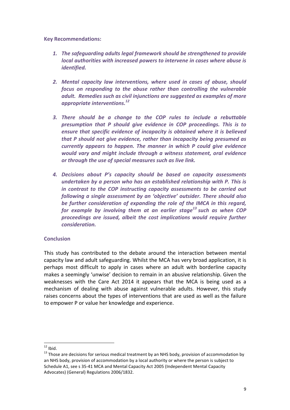**Key Recommendations:**

- **1.** The safeguarding adults legal framework should be strengthened to provide *local authorities with increased powers to intervene in cases where abuse is identified.*
- 2. Mental capacity law interventions, where used in cases of abuse, should *focus* on responding to the abuse rather than controlling the vulnerable *adult.* Remedies such as civil injunctions are suggested as examples of more *appropriate interventions.*<sup>12</sup>
- *3. There should be a change to the COP rules to include a rebuttable presumption that P should give evidence in COP proceedings. This is to ensure that specific evidence of incapacity is obtained where it is believed that* P should not give evidence, rather than incapacity being presumed as *currently appears to happen. The manner in which P could aive evidence would* vary and might include through a witness statement, oral evidence or through the use of special measures such as live link.
- *4. Decisions about P's capacity should be based on capacity assessments undertaken by a person who has an established relationship with P. This is in* contrast to the COP instructing capacity assessments to be carried out *following a single assessment by an 'objective' outsider. There should also* be further consideration of expanding the role of the IMCA in this regard, *for* example by involving them at an earlier stage<sup>13</sup> such as when COP *proceedings are issued, albeit the cost implications would require further consideration.*

#### **Conclusion**

This study has contributed to the debate around the interaction between mental capacity law and adult safeguarding. Whilst the MCA has very broad application, it is perhaps most difficult to apply in cases where an adult with borderline capacity makes a seemingly 'unwise' decision to remain in an abusive relationship. Given the weaknesses with the Care Act 2014 it appears that the MCA is being used as a mechanism of dealing with abuse against vulnerable adults. However, this study raises concerns about the types of interventions that are used as well as the failure to empower P or value her knowledge and experience.

<sup>&</sup>lt;sup>12</sup> Ibid.<br><sup>13</sup> Those are decisions for serious medical treatment by an NHS body, provision of accommodation by an NHS body, provision of accommodation by a local authority or where the person is subject to Schedule A1, see s 35-41 MCA and Mental Capacity Act 2005 (Independent Mental Capacity Advocates) (General) Regulations 2006/1832.